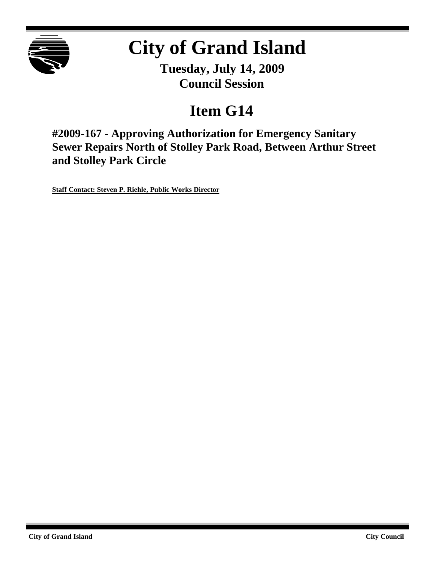

# **City of Grand Island**

**Tuesday, July 14, 2009 Council Session**

# **Item G14**

**#2009-167 - Approving Authorization for Emergency Sanitary Sewer Repairs North of Stolley Park Road, Between Arthur Street and Stolley Park Circle**

**Staff Contact: Steven P. Riehle, Public Works Director**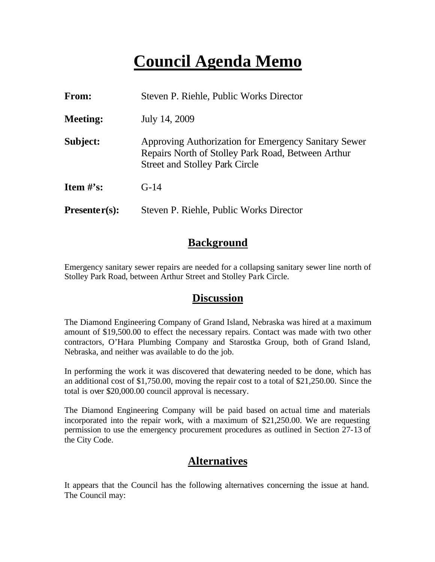# **Council Agenda Memo**

| From:                          | Steven P. Riehle, Public Works Director                                                                                                             |  |
|--------------------------------|-----------------------------------------------------------------------------------------------------------------------------------------------------|--|
| <b>Meeting:</b>                | July 14, 2009                                                                                                                                       |  |
| Subject:                       | Approving Authorization for Emergency Sanitary Sewer<br>Repairs North of Stolley Park Road, Between Arthur<br><b>Street and Stolley Park Circle</b> |  |
| <b>Item <math>\#</math>'s:</b> | $G-14$                                                                                                                                              |  |
| $Presenter(s):$                | Steven P. Riehle, Public Works Director                                                                                                             |  |

### **Background**

Emergency sanitary sewer repairs are needed for a collapsing sanitary sewer line north of Stolley Park Road, between Arthur Street and Stolley Park Circle.

#### **Discussion**

The Diamond Engineering Company of Grand Island, Nebraska was hired at a maximum amount of \$19,500.00 to effect the necessary repairs. Contact was made with two other contractors, O'Hara Plumbing Company and Starostka Group, both of Grand Island, Nebraska, and neither was available to do the job.

In performing the work it was discovered that dewatering needed to be done, which has an additional cost of \$1,750.00, moving the repair cost to a total of \$21,250.00. Since the total is over \$20,000.00 council approval is necessary.

The Diamond Engineering Company will be paid based on actual time and materials incorporated into the repair work, with a maximum of \$21,250.00. We are requesting permission to use the emergency procurement procedures as outlined in Section 27-13 of the City Code.

# **Alternatives**

It appears that the Council has the following alternatives concerning the issue at hand. The Council may: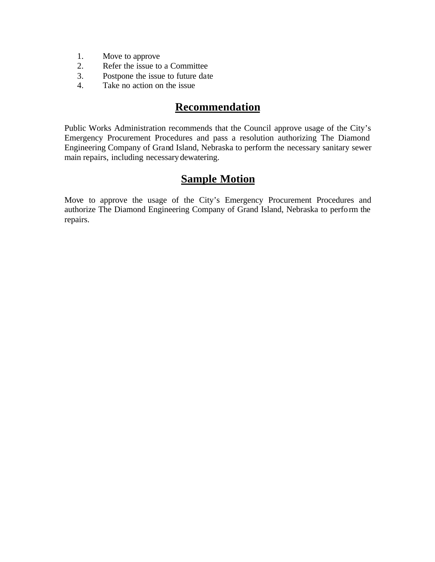- 1. Move to approve
- 2. Refer the issue to a Committee
- 3. Postpone the issue to future date
- 4. Take no action on the issue

### **Recommendation**

Public Works Administration recommends that the Council approve usage of the City's Emergency Procurement Procedures and pass a resolution authorizing The Diamond Engineering Company of Grand Island, Nebraska to perform the necessary sanitary sewer main repairs, including necessary dewatering.

# **Sample Motion**

Move to approve the usage of the City's Emergency Procurement Procedures and authorize The Diamond Engineering Company of Grand Island, Nebraska to perform the repairs.